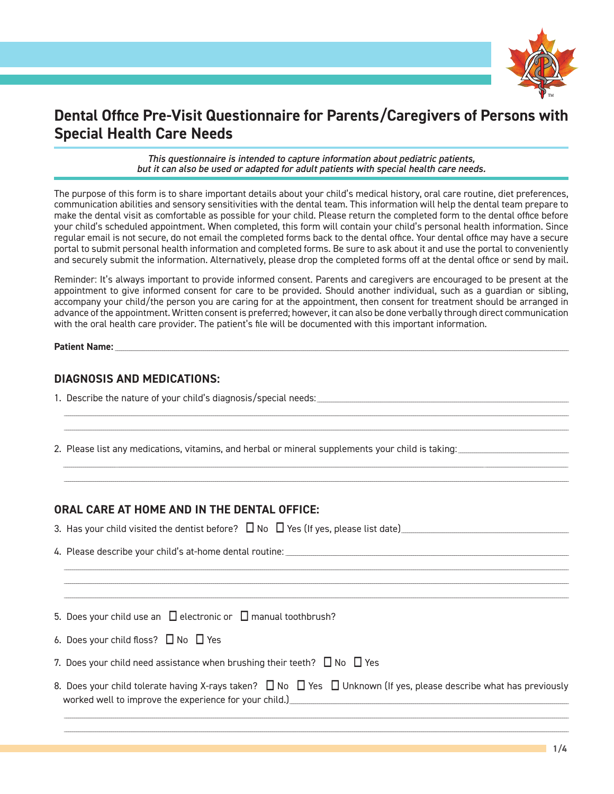

# **Dental Office Pre-Visit Questionnaire for Parents/Caregivers of Persons with Special Health Care Needs**

*This questionnaire is intended to capture information about pediatric patients, but it can also be used or adapted for adult patients with special health care needs.*

The purpose of this form is to share important details about your child's medical history, oral care routine, diet preferences, communication abilities and sensory sensitivities with the dental team. This information will help the dental team prepare to make the dental visit as comfortable as possible for your child. Please return the completed form to the dental office before your child's scheduled appointment. When completed, this form will contain your child's personal health information. Since regular email is not secure, do not email the completed forms back to the dental office. Your dental office may have a secure portal to submit personal health information and completed forms. Be sure to ask about it and use the portal to conveniently and securely submit the information. Alternatively, please drop the completed forms off at the dental office or send by mail.

Reminder: It's always important to provide informed consent. Parents and caregivers are encouraged to be present at the appointment to give informed consent for care to be provided. Should another individual, such as a guardian or sibling, accompany your child/the person you are caring for at the appointment, then consent for treatment should be arranged in advance of the appointment. Written consent is preferred; however, it can also be done verbally through direct communication with the oral health care provider. The patient's file will be documented with this important information.

\_\_\_\_\_\_\_\_\_\_\_\_\_\_\_\_\_\_\_\_\_\_\_\_\_\_\_\_\_\_\_\_\_\_\_\_\_\_\_\_\_\_\_\_\_\_\_\_\_\_\_\_\_\_\_\_\_\_\_\_\_\_\_\_\_\_\_\_\_\_\_\_\_\_\_\_\_\_\_\_\_\_\_\_\_\_\_\_\_\_\_\_\_\_\_\_\_\_\_\_\_\_\_\_\_\_\_\_\_\_\_\_\_\_\_\_\_\_\_\_\_\_\_\_\_\_\_\_\_\_\_\_\_\_\_\_\_\_\_\_\_\_\_\_\_\_\_\_\_\_\_\_\_\_\_\_\_\_\_\_\_\_\_\_\_\_\_\_\_\_\_\_\_\_\_\_\_\_\_\_\_\_\_\_\_\_\_\_\_\_\_\_\_\_\_\_\_\_\_\_\_\_\_\_\_\_\_\_\_\_\_\_\_\_\_\_\_\_\_\_\_\_\_\_\_\_\_\_\_\_\_\_\_\_\_\_\_\_\_\_\_\_\_\_\_\_\_\_\_\_\_\_\_\_\_\_\_ \_\_\_\_\_\_\_\_\_\_\_\_\_\_\_\_\_\_\_\_\_\_\_\_\_\_\_\_\_\_\_\_\_\_\_\_\_\_\_\_\_\_\_\_\_\_\_\_\_\_\_\_\_\_\_\_\_\_\_\_\_\_\_\_\_\_\_\_\_\_\_\_\_\_\_\_\_\_\_\_\_\_\_\_\_\_\_\_\_\_\_\_\_\_\_\_\_\_\_\_\_\_\_\_\_\_\_\_\_\_\_\_\_\_\_\_\_\_\_\_\_\_\_\_\_\_\_\_\_\_\_\_\_\_\_\_\_\_\_\_\_\_\_\_\_\_\_\_\_\_\_\_\_\_\_\_\_\_\_\_\_\_\_\_\_\_\_\_\_\_\_\_\_\_\_\_\_\_\_\_\_\_\_\_\_\_\_\_\_\_\_\_\_\_\_\_\_\_\_\_\_\_\_\_\_\_\_\_\_\_\_\_\_\_\_\_\_\_\_\_\_\_\_\_\_\_\_\_\_\_\_\_\_\_\_\_\_\_\_\_\_\_\_\_\_\_\_\_\_\_\_\_\_\_\_\_\_

\_\_\_\_\_\_\_\_\_\_\_\_\_\_\_\_\_\_\_\_\_\_\_\_\_\_\_ \_\_\_\_\_\_\_\_\_\_\_\_\_\_\_\_\_\_\_\_\_\_\_\_\_\_\_\_\_\_\_\_\_\_\_\_\_\_\_\_\_\_\_\_\_\_\_\_\_\_\_\_\_\_\_\_\_\_\_\_\_\_\_\_\_\_\_\_\_\_\_\_\_\_\_\_\_\_\_\_\_\_\_\_\_\_\_\_\_\_\_\_\_\_\_\_\_\_\_\_\_\_\_\_\_\_\_\_\_\_\_\_\_\_\_\_\_\_\_\_\_\_\_\_\_\_\_\_\_\_\_\_\_\_\_\_\_\_\_\_\_\_\_\_\_\_\_\_\_\_\_\_\_\_\_\_\_\_\_\_\_\_\_\_\_\_\_\_\_\_\_\_\_\_\_\_\_\_\_\_\_\_\_\_\_\_\_\_\_\_\_\_\_\_\_\_\_\_\_\_\_\_\_\_\_\_\_\_\_\_\_\_\_\_\_\_\_\_\_\_\_\_\_\_\_\_\_\_\_ \_\_\_\_\_\_\_\_\_\_\_\_\_\_\_\_\_\_\_\_\_\_\_\_\_\_\_\_\_\_\_\_\_\_\_\_\_\_\_\_\_\_\_\_\_\_\_\_\_\_\_\_\_\_\_\_\_\_\_\_\_\_\_\_\_\_\_\_\_\_\_\_\_\_\_\_\_\_\_\_\_\_\_\_\_\_\_\_\_\_\_\_\_\_\_\_\_\_\_\_\_\_\_\_\_\_\_\_\_\_\_\_\_\_\_\_\_\_\_\_\_\_\_\_\_\_\_\_\_\_\_\_\_\_\_\_\_\_\_\_\_\_\_\_\_\_\_\_\_\_\_\_\_\_\_\_\_\_\_\_\_\_\_\_\_\_\_\_\_\_\_\_\_\_\_\_\_\_\_\_\_\_\_\_\_\_\_\_\_\_\_\_\_\_\_\_\_\_\_\_\_\_\_\_\_\_\_\_\_\_\_\_\_\_\_\_\_\_\_\_\_\_\_\_\_\_\_\_\_\_\_\_\_\_\_\_\_\_\_\_\_\_\_\_\_\_\_\_\_\_\_\_\_\_\_\_\_

\_\_\_\_\_\_\_\_\_\_\_\_\_\_\_\_\_\_\_\_\_\_\_\_\_\_\_\_\_\_\_\_\_\_\_\_\_\_\_\_\_\_\_\_\_\_\_\_\_\_\_\_\_\_\_\_\_\_\_\_\_\_\_\_\_\_\_\_\_\_\_\_\_\_\_\_\_\_\_\_\_\_\_\_\_\_\_\_\_\_\_\_\_\_\_\_\_\_\_\_\_\_\_\_\_\_\_\_\_\_\_\_\_\_\_\_\_\_\_\_\_\_\_\_\_\_\_\_\_\_\_\_\_\_\_\_\_\_\_\_\_\_\_\_\_\_\_\_\_\_\_\_\_\_\_\_\_\_\_\_\_\_\_\_\_\_\_\_\_\_\_\_\_\_\_\_\_\_\_\_\_\_\_\_\_\_\_\_\_\_\_\_\_\_\_\_\_\_\_\_\_\_\_\_\_\_\_\_\_\_\_\_\_\_\_\_\_\_\_\_\_\_\_\_\_\_\_\_\_\_\_\_\_\_\_\_\_\_\_\_\_\_\_\_\_\_\_\_\_\_\_\_\_\_\_\_\_ \_\_\_\_\_\_\_\_\_\_\_\_\_\_\_\_\_\_\_\_\_\_\_\_\_\_\_\_\_\_\_\_\_\_\_\_\_\_\_\_\_\_\_\_\_\_\_\_\_\_\_\_\_\_\_\_\_\_\_\_\_\_\_\_\_\_\_\_\_\_\_\_\_\_\_\_\_\_\_\_\_\_\_\_\_\_\_\_\_\_\_\_\_\_\_\_\_\_\_\_\_\_\_\_\_\_\_\_\_\_\_\_\_\_\_\_\_\_\_\_\_\_\_\_\_\_\_\_\_\_\_\_\_\_\_\_\_\_\_\_\_\_\_\_\_\_\_\_\_\_\_\_\_\_\_\_\_\_\_\_\_\_\_\_\_\_\_\_\_\_\_\_\_\_\_\_\_\_\_\_\_\_\_\_\_\_\_\_\_\_\_\_\_\_\_\_\_\_\_\_\_\_\_\_\_\_\_\_\_\_\_\_\_\_\_\_\_\_\_\_\_\_\_\_\_\_\_\_\_\_\_\_\_\_\_\_\_\_\_\_\_\_\_\_\_\_\_\_\_\_\_\_\_\_\_\_\_ \_\_\_\_\_\_\_\_\_\_\_\_\_\_\_\_\_\_\_\_\_\_\_\_\_\_\_\_\_\_\_\_\_\_\_\_\_\_\_\_\_\_\_\_\_\_\_\_\_\_\_\_\_\_\_\_\_\_\_\_\_\_\_\_\_\_\_\_\_\_\_\_\_\_\_\_\_\_\_\_\_\_\_\_\_\_\_\_\_\_\_\_\_\_\_\_\_\_\_\_\_\_\_\_\_\_\_\_\_\_\_\_\_\_\_\_\_\_\_\_\_\_\_\_\_\_\_\_\_\_\_\_\_\_\_\_\_\_\_\_\_\_\_\_\_\_\_\_\_\_\_\_\_\_\_\_\_\_\_\_\_\_\_\_\_\_\_\_\_\_\_\_\_\_\_\_\_\_\_\_\_\_\_\_\_\_\_\_\_\_\_\_\_\_\_\_\_\_\_\_\_\_\_\_\_\_\_\_\_\_\_\_\_\_\_\_\_\_\_\_\_\_\_\_\_\_\_\_\_\_\_\_\_\_\_\_\_\_\_\_\_\_\_\_\_\_\_\_\_\_\_\_\_\_\_\_\_

**Patient Name:** Name:

## **DIAGNOSIS AND MEDICATIONS:**

- 1. Describe the nature of your child's diagnosis/special needs:\_\_\_\_\_\_\_\_\_\_\_\_\_\_\_\_\_\_\_\_\_\_\_\_\_\_\_\_\_\_\_\_\_\_\_\_\_\_\_\_\_\_\_\_\_\_\_\_\_\_\_\_\_\_\_\_\_\_\_\_\_\_\_\_\_\_\_\_\_\_\_\_\_\_\_\_\_\_\_\_\_\_\_\_\_\_\_\_\_\_\_\_\_\_\_\_\_\_\_\_\_\_\_\_\_\_\_\_\_\_\_\_\_\_\_\_\_\_\_\_\_\_\_\_\_\_\_\_
- 2. Please list any medications, vitamins, and herbal or mineral supplements your child is taking: \_\_\_\_\_\_\_\_\_\_\_\_

#### **ORAL CARE AT HOME AND IN THE DENTAL OFFICE:**

- 3. Has your child visited the dentist before? No Yes (If yes, please list date)\_\_\_\_\_\_\_\_\_\_\_\_\_\_\_\_\_\_\_\_\_\_\_\_\_\_\_\_\_\_\_\_\_\_\_\_\_\_\_\_\_\_\_\_\_\_\_\_\_\_\_\_\_\_\_\_\_\_\_\_\_\_\_\_\_\_\_\_\_\_\_\_\_\_\_\_\_\_\_\_\_\_\_\_\_
- 4. Please describe your child's at-home dental routine:

|  | 5. Does your child use an $\Box$ electronic or $\Box$ manual toothbrush? |  |  |  |  |
|--|--------------------------------------------------------------------------|--|--|--|--|
|--|--------------------------------------------------------------------------|--|--|--|--|

- 6. Does your child floss?  $\Box$  No  $\Box$  Yes
- 7. Does your child need assistance when brushing their teeth?  $\Box$  No  $\Box$  Yes
- 8. Does your child tolerate having X-rays taken?  $\Box$  No  $\Box$  Yes  $\Box$  Unknown (If yes, please describe what has previously worked well to improve the experience for your child.)\_\_\_\_\_\_\_\_\_\_\_\_\_\_\_\_\_\_\_\_\_\_\_\_\_\_\_\_\_\_\_\_\_\_\_\_\_\_\_\_\_\_\_\_\_\_\_\_\_\_\_\_\_\_\_\_\_\_\_\_\_\_\_\_\_\_\_\_\_\_\_\_\_\_\_\_\_\_\_\_\_\_\_\_\_\_\_\_\_\_\_\_\_\_\_\_\_\_\_\_\_\_\_\_\_\_\_\_\_\_\_\_\_\_\_\_\_\_\_\_\_\_\_\_\_\_\_\_\_\_\_\_\_\_\_\_\_\_\_\_\_\_

\_\_\_\_\_\_\_\_\_\_\_\_\_\_\_\_\_\_\_\_\_\_\_\_\_\_\_\_\_\_\_\_\_\_\_\_\_\_\_\_\_\_\_\_\_\_\_\_\_\_\_\_\_\_\_\_\_\_\_\_\_\_\_\_\_\_\_\_\_\_\_\_\_\_\_\_\_\_\_\_\_\_\_\_\_\_\_\_\_\_\_\_\_\_\_\_\_\_\_\_\_\_\_\_\_\_\_\_\_\_\_\_\_\_\_\_\_\_\_\_\_\_\_\_\_\_\_\_\_\_\_\_\_\_\_\_\_\_\_\_\_\_\_\_\_\_\_\_\_\_\_\_\_\_\_\_\_\_\_\_\_\_\_\_\_\_\_\_\_\_\_\_\_\_\_\_\_\_\_\_\_\_\_\_\_\_\_\_\_\_\_\_\_\_\_\_\_\_\_\_\_\_\_\_\_\_\_\_\_\_\_\_\_\_\_\_\_\_\_\_\_\_\_\_\_\_\_\_\_\_\_\_\_\_\_\_\_\_\_\_\_\_\_\_\_\_\_\_\_\_\_\_\_\_\_\_\_ \_\_\_\_\_\_\_\_\_\_\_\_\_\_\_\_\_\_\_\_\_\_\_\_\_\_\_\_\_\_\_\_\_\_\_\_\_\_\_\_\_\_\_\_\_\_\_\_\_\_\_\_\_\_\_\_\_\_\_\_\_\_\_\_\_\_\_\_\_\_\_\_\_\_\_\_\_\_\_\_\_\_\_\_\_\_\_\_\_\_\_\_\_\_\_\_\_\_\_\_\_\_\_\_\_\_\_\_\_\_\_\_\_\_\_\_\_\_\_\_\_\_\_\_\_\_\_\_\_\_\_\_\_\_\_\_\_\_\_\_\_\_\_\_\_\_\_\_\_\_\_\_\_\_\_\_\_\_\_\_\_\_\_\_\_\_\_\_\_\_\_\_\_\_\_\_\_\_\_\_\_\_\_\_\_\_\_\_\_\_\_\_\_\_\_\_\_\_\_\_\_\_\_\_\_\_\_\_\_\_\_\_\_\_\_\_\_\_\_\_\_\_\_\_\_\_\_\_\_\_\_\_\_\_\_\_\_\_\_\_\_\_\_\_\_\_\_\_\_\_\_\_\_\_\_\_\_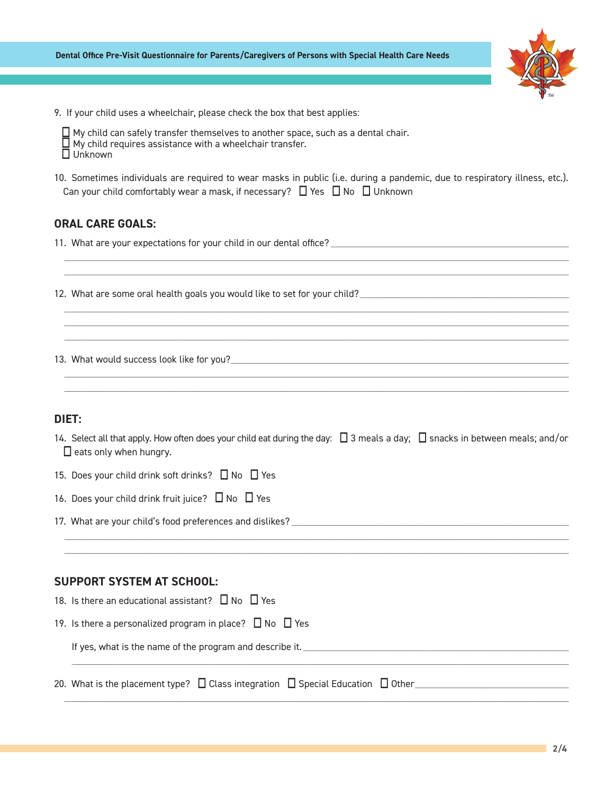

9. If your child uses a wheelchair, please check the box that best applies:

| $\Box$ My child can safely transfer themselves to another space, such as a dental chair. |
|------------------------------------------------------------------------------------------|
| $\Box$ My child requires assistance with a wheelchair transfer.                          |
| $\square$ Unknown                                                                        |

10. Sometimes individuals are required to wear masks in public (i.e. during a pandemic, due to respiratory illness, etc.). Can your child comfortably wear a mask, if necessary?  $\Box$  Yes  $\Box$  No  $\Box$  Unknown

## **ORAL CARE GOALS:**

11. What are your expectations for your child in our dental office? [[11] CHARD TO THE THE THE THE THE THE THE

- 
- 13. What would success look like for you?

## DIET:

- 14. Select all that apply. How often does your child eat during the day: □ 3 meals a day; □ snacks in between meals; and/or  $\Box$  eats only when hungry.
- 15. Does your child drink soft drinks? □ No □ Yes
- 16. Does your child drink fruit juice? □ No □ Yes
- 17. What are your child's food preferences and dislikes?

#### **SUPPORT SYSTEM AT SCHOOL:**

| 18. Is there an educational assistant? $\Box$ No $\Box$ Yes                                    |
|------------------------------------------------------------------------------------------------|
| 19. Is there a personalized program in place? $\Box$ No $\Box$ Yes                             |
| If yes, what is the name of the program and describe it.                                       |
| 20. What is the placement type? $\Box$ Class integration $\Box$ Special Education $\Box$ Other |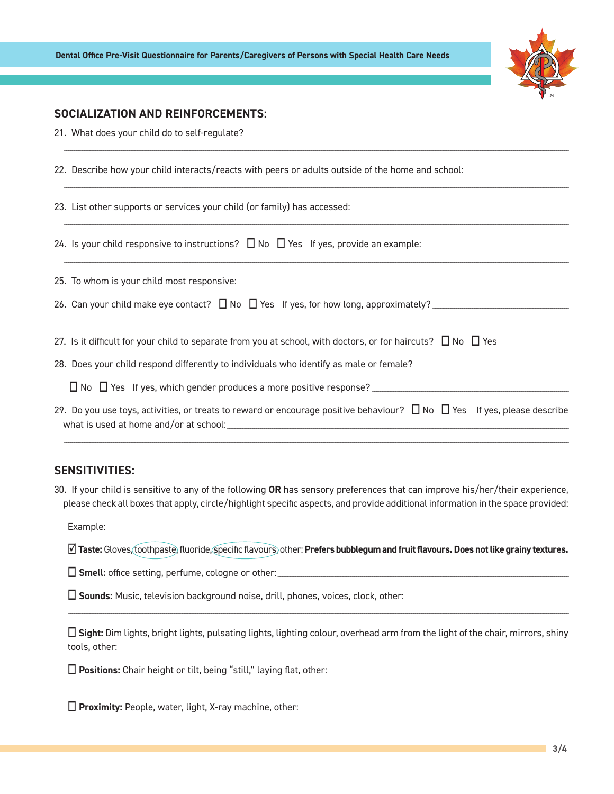

# **SOCIALIZATION AND REINFORCEMENTS:**

| 22. Describe how your child interacts/reacts with peers or adults outside of the home and school:                        |
|--------------------------------------------------------------------------------------------------------------------------|
|                                                                                                                          |
|                                                                                                                          |
|                                                                                                                          |
|                                                                                                                          |
| 27. Is it difficult for your child to separate from you at school, with doctors, or for haircuts? $\Box$ No $\Box$ Yes   |
| 28. Does your child respond differently to individuals who identify as male or female?                                   |
|                                                                                                                          |
| 29. Do you use toys, activities, or treats to reward or encourage positive behaviour? □ No □ Yes If yes, please describe |

# **SENSITIVITIES:**

30. If your child is sensitive to any of the following OR has sensory preferences that can improve his/her/their experience, please check all boxes that apply, circle/highlight specific aspects, and provide additional information in the space provided:

Example:

Ø Taste: Gloves, toothpaste, fluoride, specific flavours, other: Prefers bubblegum and fruit flavours. Does not like grainy textures.

□ Smell: office setting, perfume, cologne or other: \_\_\_\_\_\_\_\_\_\_\_\_\_\_\_\_\_\_\_\_\_\_\_\_\_\_\_\_

 $\Box$  Sight: Dim lights, bright lights, pulsating lights, lighting colour, overhead arm from the light of the chair, mirrors, shiny tools, other:

□ Proximity: People, water, light, X-ray machine, other: